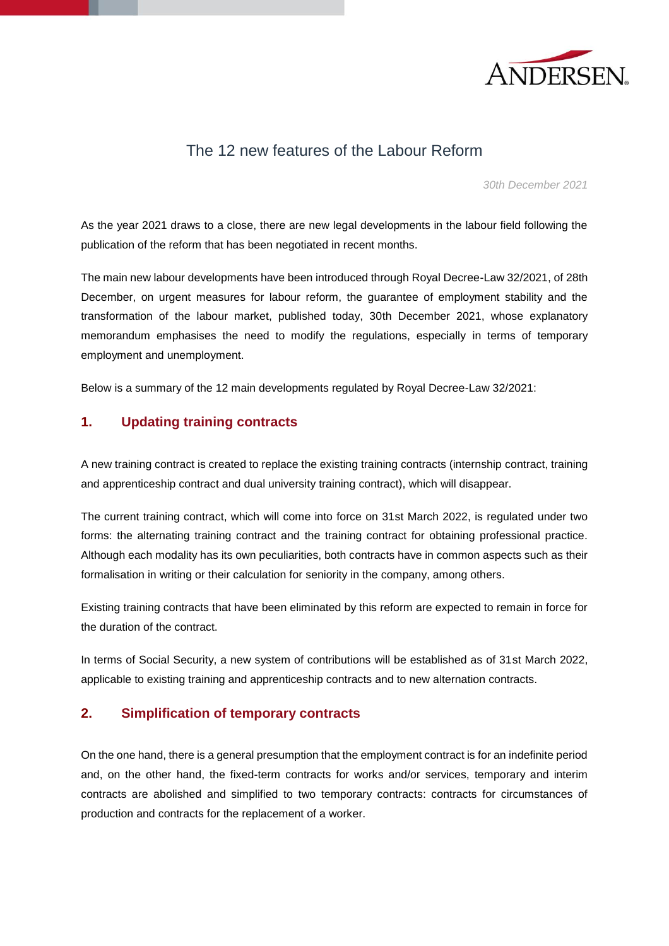

## The 12 new features of the Labour Reform

*30th December 2021*

As the year 2021 draws to a close, there are new legal developments in the labour field following the publication of the reform that has been negotiated in recent months.

The main new labour developments have been introduced through Royal Decree-Law 32/2021, of 28th December, on urgent measures for labour reform, the guarantee of employment stability and the transformation of the labour market, published today, 30th December 2021, whose explanatory memorandum emphasises the need to modify the regulations, especially in terms of temporary employment and unemployment.

Below is a summary of the 12 main developments regulated by Royal Decree-Law 32/2021:

### **1. Updating training contracts**

A new training contract is created to replace the existing training contracts (internship contract, training and apprenticeship contract and dual university training contract), which will disappear.

The current training contract, which will come into force on 31st March 2022, is regulated under two forms: the alternating training contract and the training contract for obtaining professional practice. Although each modality has its own peculiarities, both contracts have in common aspects such as their formalisation in writing or their calculation for seniority in the company, among others.

Existing training contracts that have been eliminated by this reform are expected to remain in force for the duration of the contract.

In terms of Social Security, a new system of contributions will be established as of 31st March 2022, applicable to existing training and apprenticeship contracts and to new alternation contracts.

### **2. Simplification of temporary contracts**

On the one hand, there is a general presumption that the employment contract is for an indefinite period and, on the other hand, the fixed-term contracts for works and/or services, temporary and interim contracts are abolished and simplified to two temporary contracts: contracts for circumstances of production and contracts for the replacement of a worker.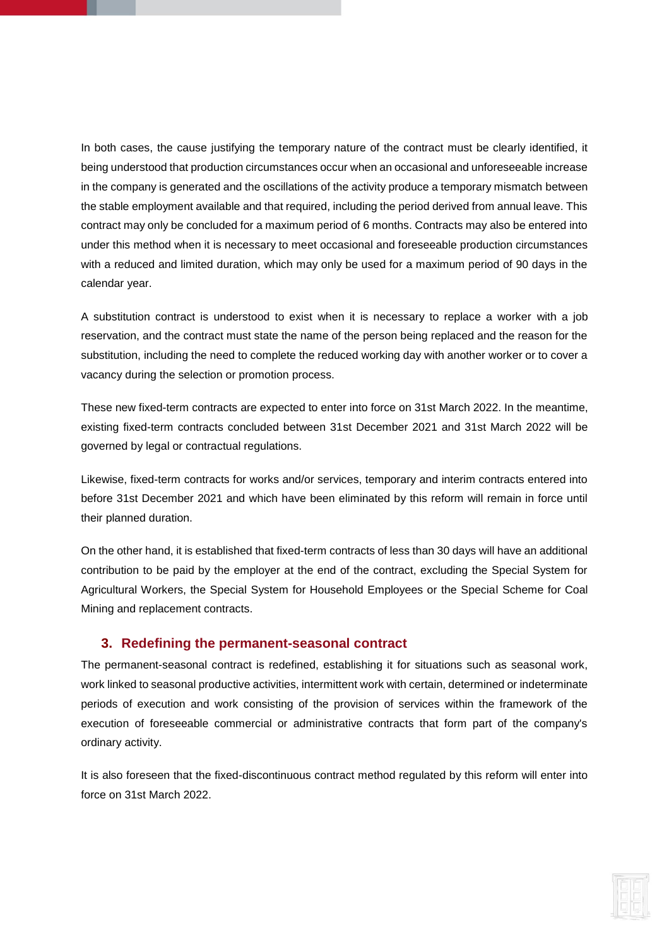In both cases, the cause justifying the temporary nature of the contract must be clearly identified, it being understood that production circumstances occur when an occasional and unforeseeable increase in the company is generated and the oscillations of the activity produce a temporary mismatch between the stable employment available and that required, including the period derived from annual leave. This contract may only be concluded for a maximum period of 6 months. Contracts may also be entered into under this method when it is necessary to meet occasional and foreseeable production circumstances with a reduced and limited duration, which may only be used for a maximum period of 90 days in the calendar year.

A substitution contract is understood to exist when it is necessary to replace a worker with a job reservation, and the contract must state the name of the person being replaced and the reason for the substitution, including the need to complete the reduced working day with another worker or to cover a vacancy during the selection or promotion process.

These new fixed-term contracts are expected to enter into force on 31st March 2022. In the meantime, existing fixed-term contracts concluded between 31st December 2021 and 31st March 2022 will be governed by legal or contractual regulations.

Likewise, fixed-term contracts for works and/or services, temporary and interim contracts entered into before 31st December 2021 and which have been eliminated by this reform will remain in force until their planned duration.

On the other hand, it is established that fixed-term contracts of less than 30 days will have an additional contribution to be paid by the employer at the end of the contract, excluding the Special System for Agricultural Workers, the Special System for Household Employees or the Special Scheme for Coal Mining and replacement contracts.

#### **3. Redefining the permanent-seasonal contract**

The permanent-seasonal contract is redefined, establishing it for situations such as seasonal work, work linked to seasonal productive activities, intermittent work with certain, determined or indeterminate periods of execution and work consisting of the provision of services within the framework of the execution of foreseeable commercial or administrative contracts that form part of the company's ordinary activity.

It is also foreseen that the fixed-discontinuous contract method regulated by this reform will enter into force on 31st March 2022.

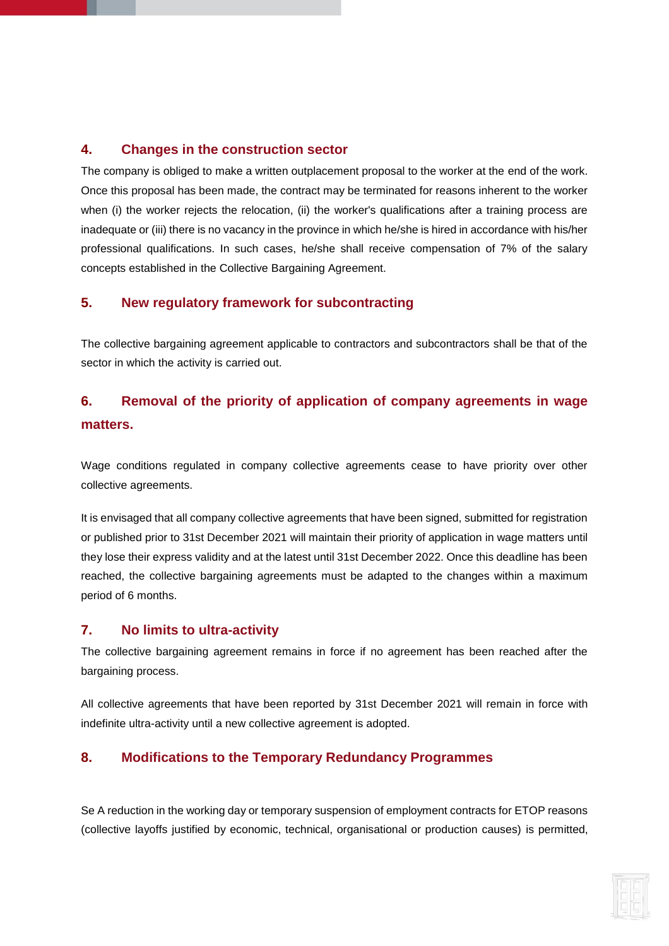### **4. Changes in the construction sector**

The company is obliged to make a written outplacement proposal to the worker at the end of the work. Once this proposal has been made, the contract may be terminated for reasons inherent to the worker when (i) the worker rejects the relocation, (ii) the worker's qualifications after a training process are inadequate or (iii) there is no vacancy in the province in which he/she is hired in accordance with his/her professional qualifications. In such cases, he/she shall receive compensation of 7% of the salary concepts established in the Collective Bargaining Agreement.

## **5. New regulatory framework for subcontracting**

The collective bargaining agreement applicable to contractors and subcontractors shall be that of the sector in which the activity is carried out.

# **6. Removal of the priority of application of company agreements in wage matters.**

Wage conditions regulated in company collective agreements cease to have priority over other collective agreements.

It is envisaged that all company collective agreements that have been signed, submitted for registration or published prior to 31st December 2021 will maintain their priority of application in wage matters until they lose their express validity and at the latest until 31st December 2022. Once this deadline has been reached, the collective bargaining agreements must be adapted to the changes within a maximum period of 6 months.

### **7. No limits to ultra-activity**

The collective bargaining agreement remains in force if no agreement has been reached after the bargaining process.

All collective agreements that have been reported by 31st December 2021 will remain in force with indefinite ultra-activity until a new collective agreement is adopted.

## **8. Modifications to the Temporary Redundancy Programmes**

Se A reduction in the working day or temporary suspension of employment contracts for ETOP reasons (collective layoffs justified by economic, technical, organisational or production causes) is permitted,

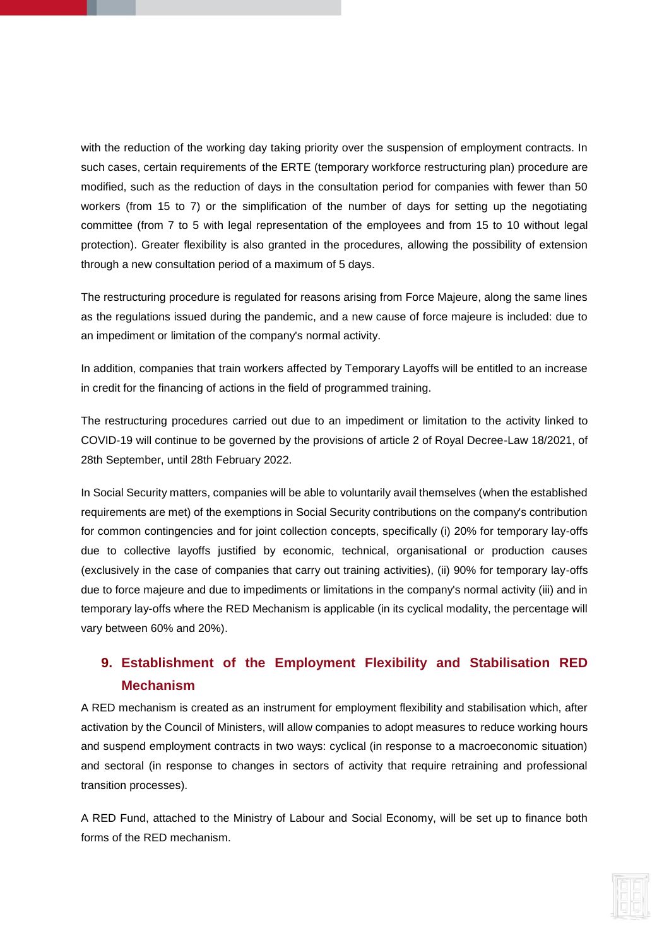with the reduction of the working day taking priority over the suspension of employment contracts. In such cases, certain requirements of the ERTE (temporary workforce restructuring plan) procedure are modified, such as the reduction of days in the consultation period for companies with fewer than 50 workers (from 15 to 7) or the simplification of the number of days for setting up the negotiating committee (from 7 to 5 with legal representation of the employees and from 15 to 10 without legal protection). Greater flexibility is also granted in the procedures, allowing the possibility of extension through a new consultation period of a maximum of 5 days.

The restructuring procedure is regulated for reasons arising from Force Majeure, along the same lines as the regulations issued during the pandemic, and a new cause of force majeure is included: due to an impediment or limitation of the company's normal activity.

In addition, companies that train workers affected by Temporary Layoffs will be entitled to an increase in credit for the financing of actions in the field of programmed training.

The restructuring procedures carried out due to an impediment or limitation to the activity linked to COVID-19 will continue to be governed by the provisions of article 2 of Royal Decree-Law 18/2021, of 28th September, until 28th February 2022.

In Social Security matters, companies will be able to voluntarily avail themselves (when the established requirements are met) of the exemptions in Social Security contributions on the company's contribution for common contingencies and for joint collection concepts, specifically (i) 20% for temporary lay-offs due to collective layoffs justified by economic, technical, organisational or production causes (exclusively in the case of companies that carry out training activities), (ii) 90% for temporary lay-offs due to force majeure and due to impediments or limitations in the company's normal activity (iii) and in temporary lay-offs where the RED Mechanism is applicable (in its cyclical modality, the percentage will vary between 60% and 20%).

# **9. Establishment of the Employment Flexibility and Stabilisation RED Mechanism**

A RED mechanism is created as an instrument for employment flexibility and stabilisation which, after activation by the Council of Ministers, will allow companies to adopt measures to reduce working hours and suspend employment contracts in two ways: cyclical (in response to a macroeconomic situation) and sectoral (in response to changes in sectors of activity that require retraining and professional transition processes).

A RED Fund, attached to the Ministry of Labour and Social Economy, will be set up to finance both forms of the RED mechanism.

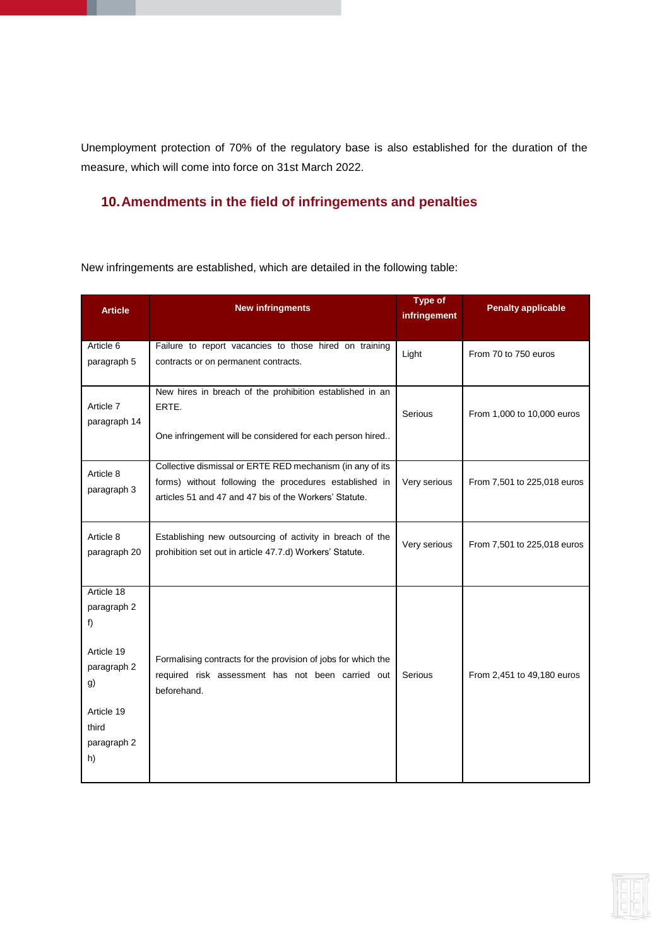Unemployment protection of 70% of the regulatory base is also established for the duration of the measure, which will come into force on 31st March 2022.

## **10.Amendments in the field of infringements and penalties**

New infringements are established, which are detailed in the following table:

| <b>Article</b>                                                                                                 | <b>New infringments</b>                                                                                                                                                       | <b>Type of</b><br>infringement | <b>Penalty applicable</b>   |
|----------------------------------------------------------------------------------------------------------------|-------------------------------------------------------------------------------------------------------------------------------------------------------------------------------|--------------------------------|-----------------------------|
| Article 6<br>paragraph 5                                                                                       | Failure to report vacancies to those hired on training<br>contracts or on permanent contracts.                                                                                | Light                          | From 70 to 750 euros        |
| Article 7<br>paragraph 14                                                                                      | New hires in breach of the prohibition established in an<br>ERTE.<br>One infringement will be considered for each person hired                                                | Serious                        | From 1,000 to 10,000 euros  |
| Article 8<br>paragraph 3                                                                                       | Collective dismissal or ERTE RED mechanism (in any of its<br>forms) without following the procedures established in<br>articles 51 and 47 and 47 bis of the Workers' Statute. | Very serious                   | From 7,501 to 225,018 euros |
| Article 8<br>paragraph 20                                                                                      | Establishing new outsourcing of activity in breach of the<br>prohibition set out in article 47.7.d) Workers' Statute.                                                         | Very serious                   | From 7,501 to 225,018 euros |
| Article 18<br>paragraph 2<br>f)<br>Article 19<br>paragraph 2<br>g)<br>Article 19<br>third<br>paragraph 2<br>h) | Formalising contracts for the provision of jobs for which the<br>required risk assessment has not been carried out<br>beforehand.                                             | Serious                        | From 2,451 to 49,180 euros  |